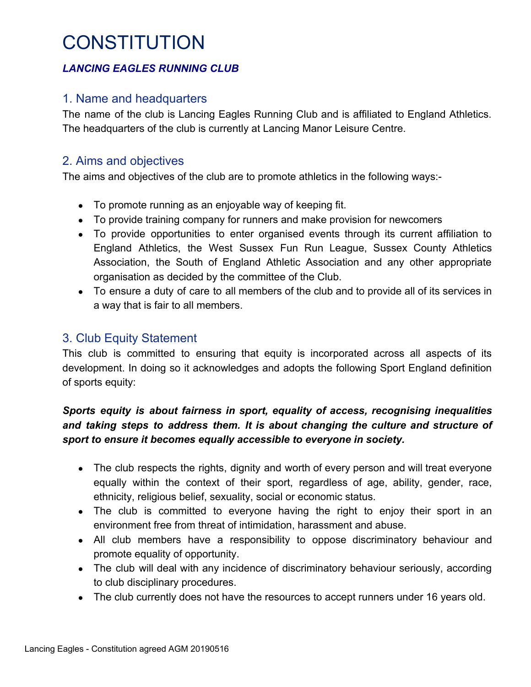## *LANCING EAGLES RUNNING CLUB*

## 1. Name and headquarters

The name of the club is Lancing Eagles Running Club and is affiliated to England Athletics. The headquarters of the club is currently at Lancing Manor Leisure Centre.

# 2. Aims and objectives

The aims and objectives of the club are to promote athletics in the following ways:-

- To promote running as an enjoyable way of keeping fit.
- To provide training company for runners and make provision for newcomers
- To provide opportunities to enter organised events through its current affiliation to England Athletics, the West Sussex Fun Run League, Sussex County Athletics Association, the South of England Athletic Association and any other appropriate organisation as decided by the committee of the Club.
- To ensure a duty of care to all members of the club and to provide all of its services in a way that is fair to all members.

## 3. Club Equity Statement

This club is committed to ensuring that equity is incorporated across all aspects of its development. In doing so it acknowledges and adopts the following Sport England definition of sports equity:

### *Sports equity is about fairness in sport, equality of access, recognising inequalities and taking steps to address them. It is about changing the culture and structure of sport to ensure it becomes equally accessible to everyone in society.*

- The club respects the rights, dignity and worth of every person and will treat everyone equally within the context of their sport, regardless of age, ability, gender, race, ethnicity, religious belief, sexuality, social or economic status.
- The club is committed to everyone having the right to enjoy their sport in an environment free from threat of intimidation, harassment and abuse.
- All club members have a responsibility to oppose discriminatory behaviour and promote equality of opportunity.
- The club will deal with any incidence of discriminatory behaviour seriously, according to club disciplinary procedures.
- The club currently does not have the resources to accept runners under 16 years old.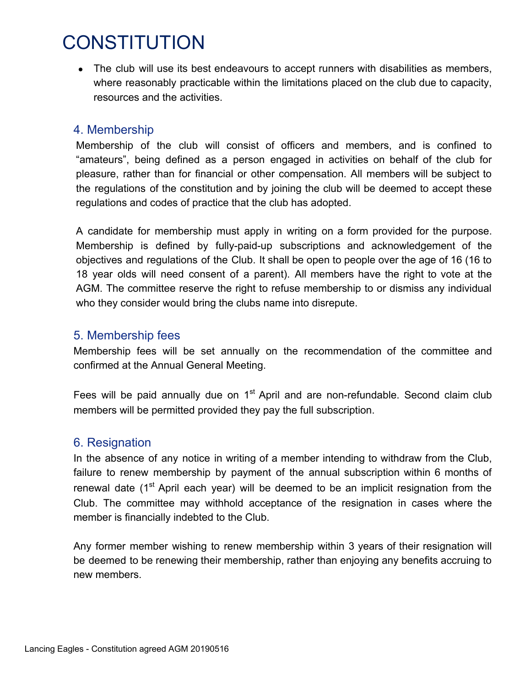• The club will use its best endeavours to accept runners with disabilities as members, where reasonably practicable within the limitations placed on the club due to capacity, resources and the activities.

### 4. Membership

Membership of the club will consist of officers and members, and is confined to "amateurs", being defined as a person engaged in activities on behalf of the club for pleasure, rather than for financial or other compensation. All members will be subject to the regulations of the constitution and by joining the club will be deemed to accept these regulations and codes of practice that the club has adopted.

A candidate for membership must apply in writing on a form provided for the purpose. Membership is defined by fully-paid-up subscriptions and acknowledgement of the objectives and regulations of the Club. It shall be open to people over the age of 16 (16 to 18 year olds will need consent of a parent). All members have the right to vote at the AGM. The committee reserve the right to refuse membership to or dismiss any individual who they consider would bring the clubs name into disrepute.

## 5. Membership fees

Membership fees will be set annually on the recommendation of the committee and confirmed at the Annual General Meeting.

Fees will be paid annually due on 1<sup>st</sup> April and are non-refundable. Second claim club members will be permitted provided they pay the full subscription.

# 6. Resignation

In the absence of any notice in writing of a member intending to withdraw from the Club, failure to renew membership by payment of the annual subscription within 6 months of renewal date  $(1<sup>st</sup>$  April each year) will be deemed to be an implicit resignation from the Club. The committee may withhold acceptance of the resignation in cases where the member is financially indebted to the Club.

Any former member wishing to renew membership within 3 years of their resignation will be deemed to be renewing their membership, rather than enjoying any benefits accruing to new members.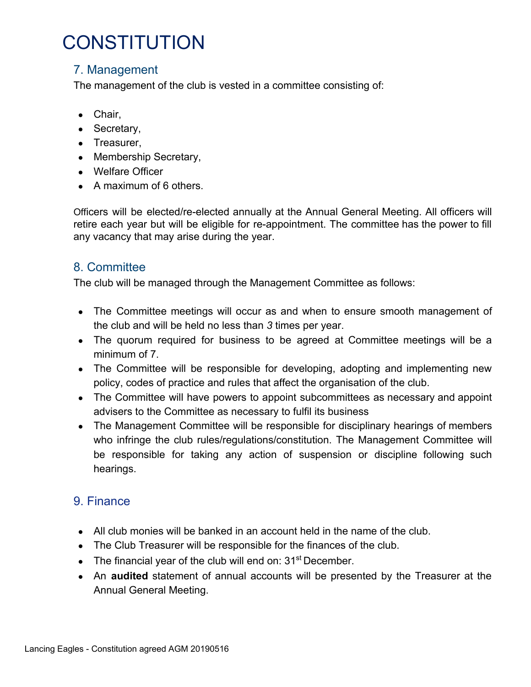# 7. Management

The management of the club is vested in a committee consisting of:

- Chair,
- Secretary,
- Treasurer,
- Membership Secretary,
- Welfare Officer
- $\bullet$  A maximum of 6 others.

Officers will be elected/re-elected annually at the Annual General Meeting. All officers will retire each year but will be eligible for re-appointment. The committee has the power to fill any vacancy that may arise during the year.

## 8. Committee

The club will be managed through the Management Committee as follows:

- The Committee meetings will occur as and when to ensure smooth management of the club and will be held no less than *3* times per year.
- The quorum required for business to be agreed at Committee meetings will be a minimum of 7.
- The Committee will be responsible for developing, adopting and implementing new policy, codes of practice and rules that affect the organisation of the club.
- The Committee will have powers to appoint subcommittees as necessary and appoint advisers to the Committee as necessary to fulfil its business
- The Management Committee will be responsible for disciplinary hearings of members who infringe the club rules/regulations/constitution. The Management Committee will be responsible for taking any action of suspension or discipline following such hearings.

# 9. Finance

- $\bullet$  All club monies will be banked in an account held in the name of the club.
- The Club Treasurer will be responsible for the finances of the club.
- The financial year of the club will end on:  $31<sup>st</sup>$  December.
- An **audited** statement of annual accounts will be presented by the Treasurer at the Annual General Meeting.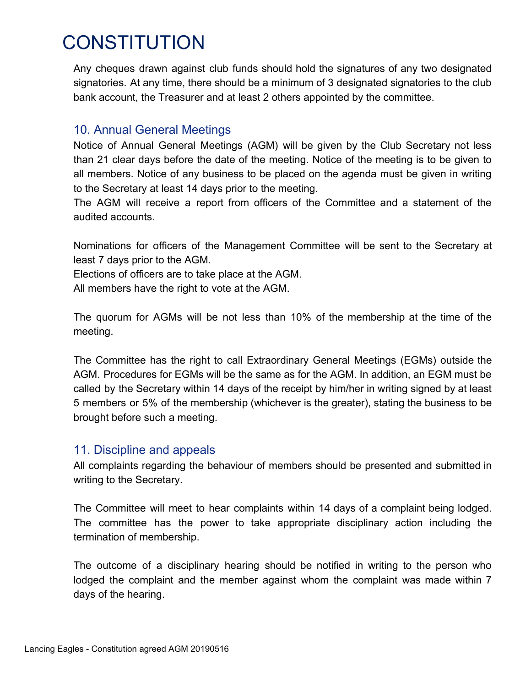Any cheques drawn against club funds should hold the signatures of any two designated signatories. At any time, there should be a minimum of 3 designated signatories to the club bank account, the Treasurer and at least 2 others appointed by the committee.

## 10. Annual General Meetings

Notice of Annual General Meetings (AGM) will be given by the Club Secretary not less than 21 clear days before the date of the meeting. Notice of the meeting is to be given to all members. Notice of any business to be placed on the agenda must be given in writing to the Secretary at least 14 days prior to the meeting.

The AGM will receive a report from officers of the Committee and a statement of the audited accounts.

Nominations for officers of the Management Committee will be sent to the Secretary at least 7 days prior to the AGM.

Elections of officers are to take place at the AGM.

All members have the right to vote at the AGM.

The quorum for AGMs will be not less than 10% of the membership at the time of the meeting.

The Committee has the right to call Extraordinary General Meetings (EGMs) outside the AGM. Procedures for EGMs will be the same as for the AGM. In addition, an EGM must be called by the Secretary within 14 days of the receipt by him/her in writing signed by at least 5 members or 5% of the membership (whichever is the greater), stating the business to be brought before such a meeting.

### 11. Discipline and appeals

All complaints regarding the behaviour of members should be presented and submitted in writing to the Secretary.

The Committee will meet to hear complaints within 14 days of a complaint being lodged. The committee has the power to take appropriate disciplinary action including the termination of membership.

The outcome of a disciplinary hearing should be notified in writing to the person who lodged the complaint and the member against whom the complaint was made within 7 days of the hearing.